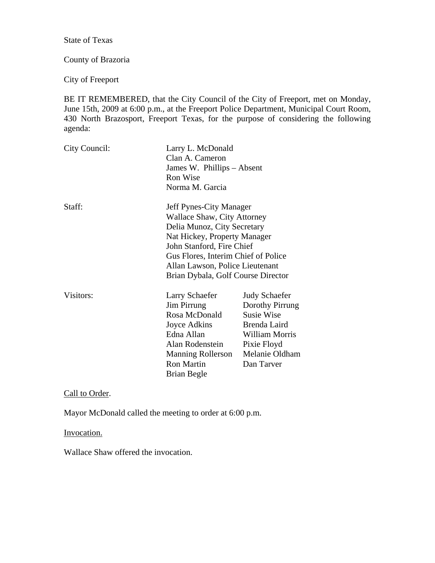State of Texas

# County of Brazoria

City of Freeport

BE IT REMEMBERED, that the City Council of the City of Freeport, met on Monday, June 15th, 2009 at 6:00 p.m., at the Freeport Police Department, Municipal Court Room, 430 North Brazosport, Freeport Texas, for the purpose of considering the following agenda:

| City Council: | Larry L. McDonald<br>Clan A. Cameron<br>James W. Phillips - Absent<br>Ron Wise<br>Norma M. Garcia                                                                                                                                                                  |                                                                                                                                               |
|---------------|--------------------------------------------------------------------------------------------------------------------------------------------------------------------------------------------------------------------------------------------------------------------|-----------------------------------------------------------------------------------------------------------------------------------------------|
| Staff:        | Jeff Pynes-City Manager<br>Wallace Shaw, City Attorney<br>Delia Munoz, City Secretary<br>Nat Hickey, Property Manager<br>John Stanford, Fire Chief<br>Gus Flores, Interim Chief of Police<br>Allan Lawson, Police Lieutenant<br>Brian Dybala, Golf Course Director |                                                                                                                                               |
| Visitors:     | Larry Schaefer<br><b>Jim Pirrung</b><br>Rosa McDonald<br>Joyce Adkins<br>Edna Allan<br>Alan Rodenstein<br><b>Manning Rollerson</b><br><b>Ron Martin</b><br>Brian Begle                                                                                             | <b>Judy Schaefer</b><br>Dorothy Pirrung<br><b>Susie Wise</b><br>Brenda Laird<br>William Morris<br>Pixie Floyd<br>Melanie Oldham<br>Dan Tarver |

Call to Order.

Mayor McDonald called the meeting to order at 6:00 p.m.

Invocation.

Wallace Shaw offered the invocation.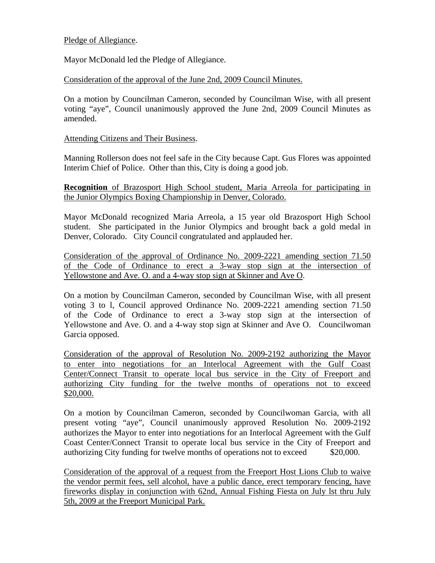### Pledge of Allegiance.

Mayor McDonald led the Pledge of Allegiance.

Consideration of the approval of the June 2nd, 2009 Council Minutes.

On a motion by Councilman Cameron, seconded by Councilman Wise, with all present voting "aye", Council unanimously approved the June 2nd, 2009 Council Minutes as amended.

#### Attending Citizens and Their Business.

Manning Rollerson does not feel safe in the City because Capt. Gus Flores was appointed Interim Chief of Police. Other than this, City is doing a good job.

**Recognition** of Brazosport High School student, Maria Arreola for participating in the Junior Olympics Boxing Championship in Denver, Colorado.

Mayor McDonald recognized Maria Arreola, a 15 year old Brazosport High School student. She participated in the Junior Olympics and brought back a gold medal in Denver, Colorado. City Council congratulated and applauded her.

Consideration of the approval of Ordinance No. 2009-2221 amending section 71.50 of the Code of Ordinance to erect a 3-way stop sign at the intersection of Yellowstone and Ave. O. and a 4-way stop sign at Skinner and Ave O.

On a motion by Councilman Cameron, seconded by Councilman Wise, with all present voting 3 to l, Council approved Ordinance No. 2009-2221 amending section 71.50 of the Code of Ordinance to erect a 3-way stop sign at the intersection of Yellowstone and Ave. O. and a 4-way stop sign at Skinner and Ave O. Councilwoman Garcia opposed.

Consideration of the approval of Resolution No. 2009-2192 authorizing the Mayor to enter into negotiations for an Interlocal Agreement with the Gulf Coast Center/Connect Transit to operate local bus service in the City of Freeport and authorizing City funding for the twelve months of operations not to exceed \$20,000.

On a motion by Councilman Cameron, seconded by Councilwoman Garcia, with all present voting "aye", Council unanimously approved Resolution No. 2009-2192 authorizes the Mayor to enter into negotiations for an Interlocal Agreement with the Gulf Coast Center/Connect Transit to operate local bus service in the City of Freeport and authorizing City funding for twelve months of operations not to exceed \$20,000.

Consideration of the approval of a request from the Freeport Host Lions Club to waive the vendor permit fees, sell alcohol, have a public dance, erect temporary fencing, have fireworks display in conjunction with 62nd, Annual Fishing Fiesta on July lst thru July 5th, 2009 at the Freeport Municipal Park.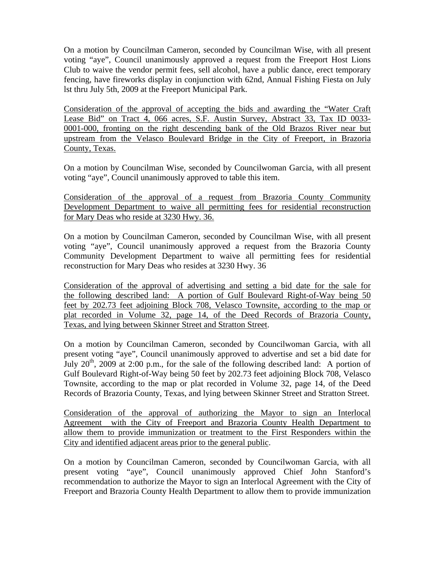On a motion by Councilman Cameron, seconded by Councilman Wise, with all present voting "aye", Council unanimously approved a request from the Freeport Host Lions Club to waive the vendor permit fees, sell alcohol, have a public dance, erect temporary fencing, have fireworks display in conjunction with 62nd, Annual Fishing Fiesta on July lst thru July 5th, 2009 at the Freeport Municipal Park.

Consideration of the approval of accepting the bids and awarding the "Water Craft Lease Bid" on Tract 4, 066 acres, S.F. Austin Survey, Abstract 33, Tax ID 0033- 0001-000, fronting on the right descending bank of the Old Brazos River near but upstream from the Velasco Boulevard Bridge in the City of Freeport, in Brazoria County, Texas.

On a motion by Councilman Wise, seconded by Councilwoman Garcia, with all present voting "aye", Council unanimously approved to table this item.

Consideration of the approval of a request from Brazoria County Community Development Department to waive all permitting fees for residential reconstruction for Mary Deas who reside at 3230 Hwy. 36.

On a motion by Councilman Cameron, seconded by Councilman Wise, with all present voting "aye", Council unanimously approved a request from the Brazoria County Community Development Department to waive all permitting fees for residential reconstruction for Mary Deas who resides at 3230 Hwy. 36

Consideration of the approval of advertising and setting a bid date for the sale for the following described land: A portion of Gulf Boulevard Right-of-Way being 50 feet by 202.73 feet adjoining Block 708, Velasco Townsite, according to the map or plat recorded in Volume 32, page 14, of the Deed Records of Brazoria County, Texas, and lying between Skinner Street and Stratton Street.

On a motion by Councilman Cameron, seconded by Councilwoman Garcia, with all present voting "aye", Council unanimously approved to advertise and set a bid date for July  $20^{th}$ ,  $2009$  at  $2:00$  p.m., for the sale of the following described land: A portion of Gulf Boulevard Right-of-Way being 50 feet by 202.73 feet adjoining Block 708, Velasco Townsite, according to the map or plat recorded in Volume 32, page 14, of the Deed Records of Brazoria County, Texas, and lying between Skinner Street and Stratton Street.

Consideration of the approval of authorizing the Mayor to sign an Interlocal Agreement with the City of Freeport and Brazoria County Health Department to allow them to provide immunization or treatment to the First Responders within the City and identified adjacent areas prior to the general public.

On a motion by Councilman Cameron, seconded by Councilwoman Garcia, with all present voting "aye", Council unanimously approved Chief John Stanford's recommendation to authorize the Mayor to sign an Interlocal Agreement with the City of Freeport and Brazoria County Health Department to allow them to provide immunization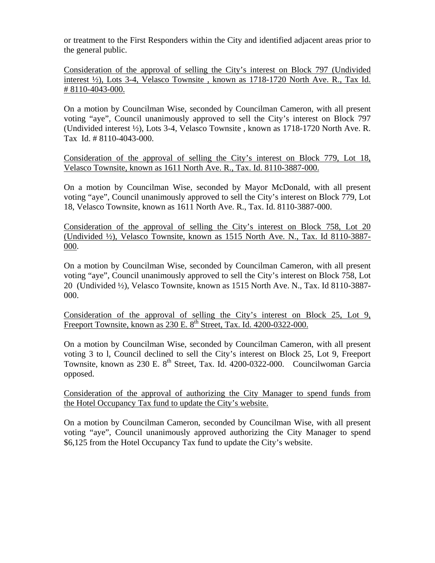or treatment to the First Responders within the City and identified adjacent areas prior to the general public.

Consideration of the approval of selling the City's interest on Block 797 (Undivided interest ½), Lots 3-4, Velasco Townsite , known as 1718-1720 North Ave. R., Tax Id. # 8110-4043-000.

On a motion by Councilman Wise, seconded by Councilman Cameron, with all present voting "aye", Council unanimously approved to sell the City's interest on Block 797 (Undivided interest ½), Lots 3-4, Velasco Townsite , known as 1718-1720 North Ave. R. Tax Id. # 8110-4043-000.

Consideration of the approval of selling the City's interest on Block 779, Lot 18, Velasco Townsite, known as 1611 North Ave. R., Tax. Id. 8110-3887-000.

On a motion by Councilman Wise, seconded by Mayor McDonald, with all present voting "aye", Council unanimously approved to sell the City's interest on Block 779, Lot 18, Velasco Townsite, known as 1611 North Ave. R., Tax. Id. 8110-3887-000.

Consideration of the approval of selling the City's interest on Block 758, Lot 20 (Undivided ½), Velasco Townsite, known as 1515 North Ave. N., Tax. Id 8110-3887- 000.

On a motion by Councilman Wise, seconded by Councilman Cameron, with all present voting "aye", Council unanimously approved to sell the City's interest on Block 758, Lot 20 (Undivided ½), Velasco Townsite, known as 1515 North Ave. N., Tax. Id 8110-3887- 000.

Consideration of the approval of selling the City's interest on Block 25, Lot 9, Freeport Townsite, known as 230 E. 8<sup>th</sup> Street, Tax. Id. 4200-0322-000.

On a motion by Councilman Wise, seconded by Councilman Cameron, with all present voting 3 to l, Council declined to sell the City's interest on Block 25, Lot 9, Freeport Townsite, known as 230 E. 8<sup>th</sup> Street, Tax. Id. 4200-0322-000. Councilwoman Garcia opposed.

Consideration of the approval of authorizing the City Manager to spend funds from the Hotel Occupancy Tax fund to update the City's website.

On a motion by Councilman Cameron, seconded by Councilman Wise, with all present voting "aye", Council unanimously approved authorizing the City Manager to spend \$6,125 from the Hotel Occupancy Tax fund to update the City's website.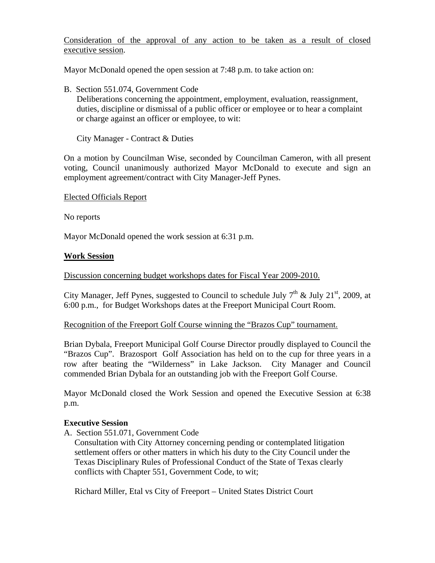Consideration of the approval of any action to be taken as a result of closed executive session.

Mayor McDonald opened the open session at 7:48 p.m. to take action on:

B. Section 551.074, Government Code

 Deliberations concerning the appointment, employment, evaluation, reassignment, duties, discipline or dismissal of a public officer or employee or to hear a complaint or charge against an officer or employee, to wit:

City Manager - Contract & Duties

On a motion by Councilman Wise, seconded by Councilman Cameron, with all present voting, Council unanimously authorized Mayor McDonald to execute and sign an employment agreement/contract with City Manager-Jeff Pynes.

Elected Officials Report

No reports

Mayor McDonald opened the work session at 6:31 p.m.

## **Work Session**

#### Discussion concerning budget workshops dates for Fiscal Year 2009-2010.

City Manager, Jeff Pynes, suggested to Council to schedule July  $7<sup>th</sup>$  & July 21<sup>st</sup>, 2009, at 6:00 p.m., for Budget Workshops dates at the Freeport Municipal Court Room.

#### Recognition of the Freeport Golf Course winning the "Brazos Cup" tournament.

Brian Dybala, Freeport Municipal Golf Course Director proudly displayed to Council the "Brazos Cup". Brazosport Golf Association has held on to the cup for three years in a row after beating the "Wilderness" in Lake Jackson. City Manager and Council commended Brian Dybala for an outstanding job with the Freeport Golf Course.

Mayor McDonald closed the Work Session and opened the Executive Session at 6:38 p.m.

#### **Executive Session**

A. Section 551.071, Government Code

 Consultation with City Attorney concerning pending or contemplated litigation settlement offers or other matters in which his duty to the City Council under the Texas Disciplinary Rules of Professional Conduct of the State of Texas clearly conflicts with Chapter 551, Government Code, to wit;

Richard Miller, Etal vs City of Freeport – United States District Court